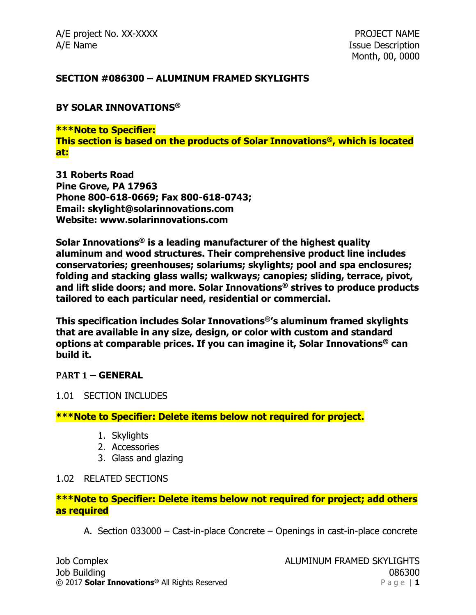### **SECTION #086300 – ALUMINUM FRAMED SKYLIGHTS**

### **BY SOLAR INNOVATIONS®**

**\*\*\*Note to Specifier: This section is based on the products of Solar Innovations®, which is located at:**

**31 Roberts Road Pine Grove, PA 17963 Phone 800-618-0669; Fax 800-618-0743; Email: skylight@solarinnovations.com Website: www.solarinnovations.com**

**Solar Innovations® is a leading manufacturer of the highest quality aluminum and wood structures. Their comprehensive product line includes conservatories; greenhouses; solariums; skylights; pool and spa enclosures; folding and stacking glass walls; walkways; canopies; sliding, terrace, pivot, and lift slide doors; and more. Solar Innovations® strives to produce products tailored to each particular need, residential or commercial.**

**This specification includes Solar Innovations®'s aluminum framed skylights that are available in any size, design, or color with custom and standard options at comparable prices. If you can imagine it, Solar Innovations® can build it.**

### **PART 1 – GENERAL**

### 1.01 SECTION INCLUDES

**\*\*\*Note to Specifier: Delete items below not required for project.**

- 1. Skylights
- 2. Accessories
- 3. Glass and glazing

### 1.02 RELATED SECTIONS

## **\*\*\*Note to Specifier: Delete items below not required for project; add others as required**

A. Section 033000 – Cast-in-place Concrete – Openings in cast-in-place concrete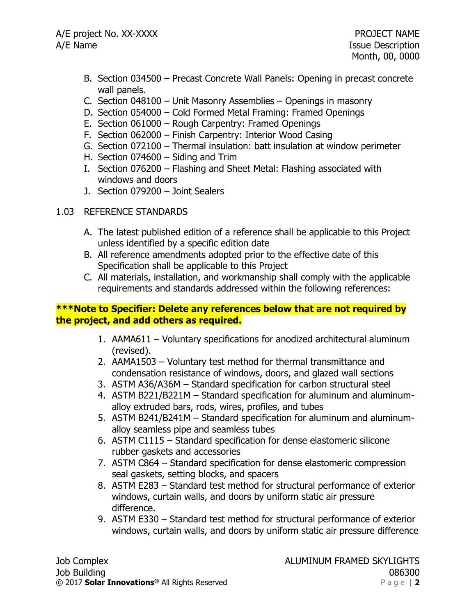- B. Section 034500 Precast Concrete Wall Panels: Opening in precast concrete wall panels.
- C. Section 048100 Unit Masonry Assemblies Openings in masonry
- D. Section 054000 Cold Formed Metal Framing: Framed Openings
- E. Section 061000 Rough Carpentry: Framed Openings
- F. Section 062000 Finish Carpentry: Interior Wood Casing
- G. Section 072100 Thermal insulation: batt insulation at window perimeter
- H. Section 074600 Siding and Trim
- I. Section 076200 Flashing and Sheet Metal: Flashing associated with windows and doors
- J. Section 079200 Joint Sealers

# 1.03 REFERENCE STANDARDS

- A. The latest published edition of a reference shall be applicable to this Project unless identified by a specific edition date
- B. All reference amendments adopted prior to the effective date of this Specification shall be applicable to this Project
- C. All materials, installation, and workmanship shall comply with the applicable requirements and standards addressed within the following references:

# **\*\*\*Note to Specifier: Delete any references below that are not required by the project, and add others as required.**

- 1. AAMA611 Voluntary specifications for anodized architectural aluminum (revised).
- 2. AAMA1503 Voluntary test method for thermal transmittance and condensation resistance of windows, doors, and glazed wall sections
- 3. ASTM A36/A36M Standard specification for carbon structural steel
- 4. ASTM B221/B221M Standard specification for aluminum and aluminumalloy extruded bars, rods, wires, profiles, and tubes
- 5. ASTM B241/B241M Standard specification for aluminum and aluminumalloy seamless pipe and seamless tubes
- 6. ASTM C1115 Standard specification for dense elastomeric silicone rubber gaskets and accessories
- 7. ASTM C864 Standard specification for dense elastomeric compression seal gaskets, setting blocks, and spacers
- 8. ASTM E283 Standard test method for structural performance of exterior windows, curtain walls, and doors by uniform static air pressure difference.
- 9. ASTM E330 Standard test method for structural performance of exterior windows, curtain walls, and doors by uniform static air pressure difference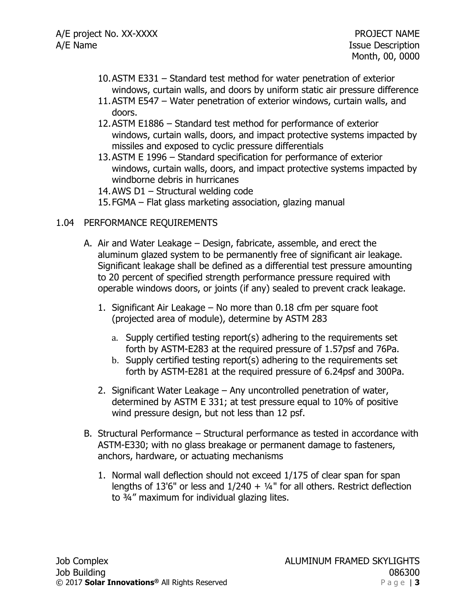- 10.ASTM E331 Standard test method for water penetration of exterior windows, curtain walls, and doors by uniform static air pressure difference
- 11.ASTM E547 Water penetration of exterior windows, curtain walls, and doors.
- 12.ASTM E1886 Standard test method for performance of exterior windows, curtain walls, doors, and impact protective systems impacted by missiles and exposed to cyclic pressure differentials
- 13.ASTM E 1996 Standard specification for performance of exterior windows, curtain walls, doors, and impact protective systems impacted by windborne debris in hurricanes

14.AWS D1 – Structural welding code

15.FGMA – Flat glass marketing association, glazing manual

## 1.04 PERFORMANCE REQUIREMENTS

- A. Air and Water Leakage Design, fabricate, assemble, and erect the aluminum glazed system to be permanently free of significant air leakage. Significant leakage shall be defined as a differential test pressure amounting to 20 percent of specified strength performance pressure required with operable windows doors, or joints (if any) sealed to prevent crack leakage.
	- 1. Significant Air Leakage No more than 0.18 cfm per square foot (projected area of module), determine by ASTM 283
		- a. Supply certified testing report(s) adhering to the requirements set forth by ASTM-E283 at the required pressure of 1.57psf and 76Pa.
		- b. Supply certified testing report(s) adhering to the requirements set forth by ASTM-E281 at the required pressure of 6.24psf and 300Pa.
	- 2. Significant Water Leakage Any uncontrolled penetration of water, determined by ASTM E 331; at test pressure equal to 10% of positive wind pressure design, but not less than 12 psf.
- B. Structural Performance Structural performance as tested in accordance with ASTM-E330; with no glass breakage or permanent damage to fasteners, anchors, hardware, or actuating mechanisms
	- 1. Normal wall deflection should not exceed 1/175 of clear span for span lengths of 13'6" or less and  $1/240 + 1/4$ " for all others. Restrict deflection to ¾" maximum for individual glazing lites.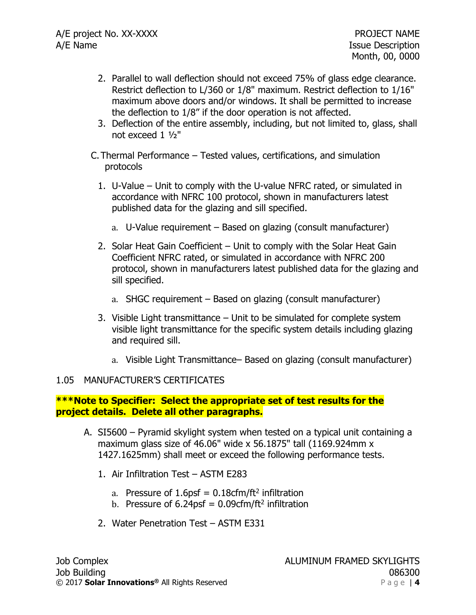- 2. Parallel to wall deflection should not exceed 75% of glass edge clearance. Restrict deflection to L/360 or 1/8" maximum. Restrict deflection to 1/16" maximum above doors and/or windows. It shall be permitted to increase the deflection to 1/8" if the door operation is not affected.
- 3. Deflection of the entire assembly, including, but not limited to, glass, shall not exceed 1 ½"
- C. Thermal Performance Tested values, certifications, and simulation protocols
	- 1. U-Value Unit to comply with the U-value NFRC rated, or simulated in accordance with NFRC 100 protocol, shown in manufacturers latest published data for the glazing and sill specified.
		- a. U-Value requirement Based on glazing (consult manufacturer)
	- 2. Solar Heat Gain Coefficient Unit to comply with the Solar Heat Gain Coefficient NFRC rated, or simulated in accordance with NFRC 200 protocol, shown in manufacturers latest published data for the glazing and sill specified.
		- a. SHGC requirement Based on glazing (consult manufacturer)
	- 3. Visible Light transmittance Unit to be simulated for complete system visible light transmittance for the specific system details including glazing and required sill.
		- a. Visible Light Transmittance– Based on glazing (consult manufacturer)

## 1.05 MANUFACTURER'S CERTIFICATES

### **\*\*\*Note to Specifier: Select the appropriate set of test results for the project details. Delete all other paragraphs.**

- A. SI5600 Pyramid skylight system when tested on a typical unit containing a maximum glass size of 46.06" wide x 56.1875" tall  $(1169.924$ mm x 1427.1625mm) shall meet or exceed the following performance tests.
	- 1. Air Infiltration Test ASTM E283
		- a. Pressure of  $1.6$ psf = 0.18cfm/ft<sup>2</sup> infiltration
		- b. Pressure of  $6.24$ psf = 0.09cfm/ft<sup>2</sup> infiltration
	- 2. Water Penetration Test ASTM E331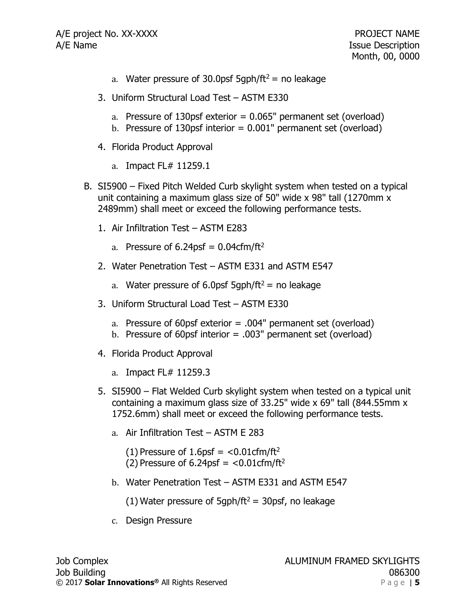- a. Water pressure of 30.0psf 5qph/ft<sup>2</sup> = no leakage
- 3. Uniform Structural Load Test ASTM E330
	- a. Pressure of  $130$ psf exterior =  $0.065$ " permanent set (overload)
	- b. Pressure of 130psf interior =  $0.001$ " permanent set (overload)
- 4. Florida Product Approval
	- a. Impact FL# 11259.1
- B. SI5900 Fixed Pitch Welded Curb skylight system when tested on a typical unit containing a maximum glass size of 50" wide x 98" tall (1270mm x 2489mm) shall meet or exceed the following performance tests.
	- 1. Air Infiltration Test ASTM E283
		- a. Pressure of  $6.24$ psf = 0.04cfm/ft<sup>2</sup>
	- 2. Water Penetration Test ASTM E331 and ASTM E547
		- a. Water pressure of 6.0psf 5qph/ft<sup>2</sup> = no leakage
	- 3. Uniform Structural Load Test ASTM E330
		- a. Pressure of 60psf exterior  $= .004$ " permanent set (overload)
		- b. Pressure of 60psf interior = .003" permanent set (overload)
	- 4. Florida Product Approval
		- a. Impact FL# 11259.3
	- 5. SI5900 Flat Welded Curb skylight system when tested on a typical unit containing a maximum glass size of 33.25" wide x 69" tall (844.55mm x 1752.6mm) shall meet or exceed the following performance tests.
		- a. Air Infiltration Test ASTM E 283
			- (1) Pressure of  $1.6$ psf = <0.01cfm/ft<sup>2</sup>
			- (2) Pressure of  $6.24$ psf =  $< 0.01$ cfm/ft<sup>2</sup>
		- b. Water Penetration Test ASTM E331 and ASTM E547
			- (1) Water pressure of 5qph/ft<sup>2</sup> = 30psf, no leakage
		- c. Design Pressure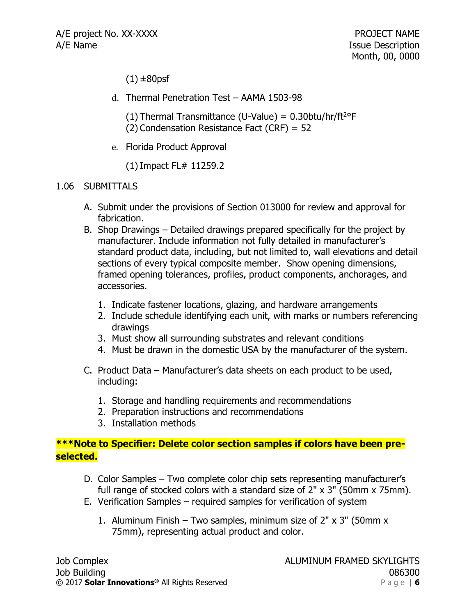$(1) \pm 80$ psf

- d. Thermal Penetration Test AAMA 1503-98
	- (1) Thermal Transmittance (U-Value) =  $0.30$ btu/hr/ft<sup>2o</sup>F
	- (2) Condensation Resistance Fact (CRF) = 52
- e. Florida Product Approval

(1)Impact FL# 11259.2

### 1.06 SUBMITTALS

- A. Submit under the provisions of Section 013000 for review and approval for fabrication.
- B. Shop Drawings Detailed drawings prepared specifically for the project by manufacturer. Include information not fully detailed in manufacturer's standard product data, including, but not limited to, wall elevations and detail sections of every typical composite member. Show opening dimensions, framed opening tolerances, profiles, product components, anchorages, and accessories.
	- 1. Indicate fastener locations, glazing, and hardware arrangements
	- 2. Include schedule identifying each unit, with marks or numbers referencing drawings
	- 3. Must show all surrounding substrates and relevant conditions
	- 4. Must be drawn in the domestic USA by the manufacturer of the system.
- C. Product Data Manufacturer's data sheets on each product to be used, including:
	- 1. Storage and handling requirements and recommendations
	- 2. Preparation instructions and recommendations
	- 3. Installation methods

## **\*\*\*Note to Specifier: Delete color section samples if colors have been preselected.**

- D. Color Samples Two complete color chip sets representing manufacturer's full range of stocked colors with a standard size of 2" x 3" (50mm x 75mm).
- E. Verification Samples required samples for verification of system
	- 1. Aluminum Finish Two samples, minimum size of  $2'' \times 3''$  (50mm x 75mm), representing actual product and color.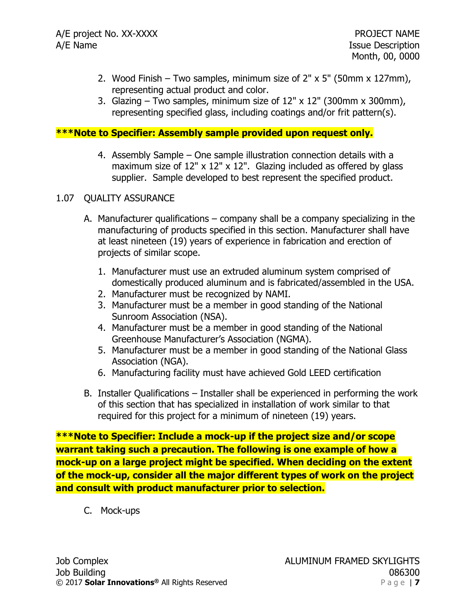- 2. Wood Finish Two samples, minimum size of 2" x 5" (50mm x 127mm), representing actual product and color.
- 3. Glazing Two samples, minimum size of  $12" \times 12"$  (300mm x 300mm), representing specified glass, including coatings and/or frit pattern(s).

### **\*\*\*Note to Specifier: Assembly sample provided upon request only.**

4. Assembly Sample – One sample illustration connection details with a maximum size of 12" x 12" x 12". Glazing included as offered by glass supplier. Sample developed to best represent the specified product.

### 1.07 QUALITY ASSURANCE

- A. Manufacturer qualifications company shall be a company specializing in the manufacturing of products specified in this section. Manufacturer shall have at least nineteen (19) years of experience in fabrication and erection of projects of similar scope.
	- 1. Manufacturer must use an extruded aluminum system comprised of domestically produced aluminum and is fabricated/assembled in the USA.
	- 2. Manufacturer must be recognized by NAMI.
	- 3. Manufacturer must be a member in good standing of the National Sunroom Association (NSA).
	- 4. Manufacturer must be a member in good standing of the National Greenhouse Manufacturer's Association (NGMA).
	- 5. Manufacturer must be a member in good standing of the National Glass Association (NGA).
	- 6. Manufacturing facility must have achieved Gold LEED certification
- B. Installer Qualifications Installer shall be experienced in performing the work of this section that has specialized in installation of work similar to that required for this project for a minimum of nineteen (19) years.

**\*\*\*Note to Specifier: Include a mock-up if the project size and/or scope warrant taking such a precaution. The following is one example of how a mock-up on a large project might be specified. When deciding on the extent of the mock-up, consider all the major different types of work on the project and consult with product manufacturer prior to selection.**

C. Mock-ups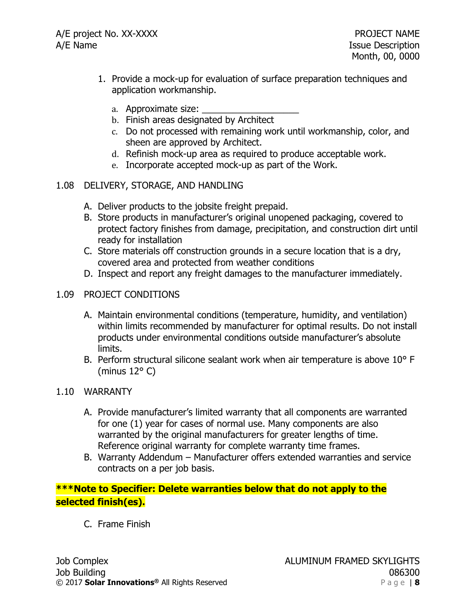- 1. Provide a mock-up for evaluation of surface preparation techniques and application workmanship.
	- a. Approximate size:
	- b. Finish areas designated by Architect
	- c. Do not processed with remaining work until workmanship, color, and sheen are approved by Architect.
	- d. Refinish mock-up area as required to produce acceptable work.
	- e. Incorporate accepted mock-up as part of the Work.

### 1.08 DELIVERY, STORAGE, AND HANDLING

- A. Deliver products to the jobsite freight prepaid.
- B. Store products in manufacturer's original unopened packaging, covered to protect factory finishes from damage, precipitation, and construction dirt until ready for installation
- C. Store materials off construction grounds in a secure location that is a dry, covered area and protected from weather conditions
- D. Inspect and report any freight damages to the manufacturer immediately.

### 1.09 PROJECT CONDITIONS

- A. Maintain environmental conditions (temperature, humidity, and ventilation) within limits recommended by manufacturer for optimal results. Do not install products under environmental conditions outside manufacturer's absolute limits.
- B. Perform structural silicone sealant work when air temperature is above 10° F (minus 12° C)

### 1.10 WARRANTY

- A. Provide manufacturer's limited warranty that all components are warranted for one (1) year for cases of normal use. Many components are also warranted by the original manufacturers for greater lengths of time. Reference original warranty for complete warranty time frames.
- B. Warranty Addendum Manufacturer offers extended warranties and service contracts on a per job basis.

**\*\*\*Note to Specifier: Delete warranties below that do not apply to the selected finish(es).**

C. Frame Finish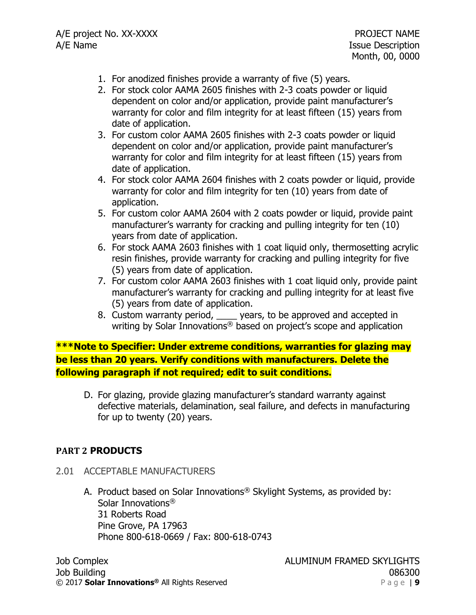- 1. For anodized finishes provide a warranty of five (5) years.
- 2. For stock color AAMA 2605 finishes with 2-3 coats powder or liquid dependent on color and/or application, provide paint manufacturer's warranty for color and film integrity for at least fifteen (15) years from date of application.
- 3. For custom color AAMA 2605 finishes with 2-3 coats powder or liquid dependent on color and/or application, provide paint manufacturer's warranty for color and film integrity for at least fifteen (15) years from date of application.
- 4. For stock color AAMA 2604 finishes with 2 coats powder or liquid, provide warranty for color and film integrity for ten (10) years from date of application.
- 5. For custom color AAMA 2604 with 2 coats powder or liquid, provide paint manufacturer's warranty for cracking and pulling integrity for ten (10) years from date of application.
- 6. For stock AAMA 2603 finishes with 1 coat liquid only, thermosetting acrylic resin finishes, provide warranty for cracking and pulling integrity for five (5) years from date of application.
- 7. For custom color AAMA 2603 finishes with 1 coat liquid only, provide paint manufacturer's warranty for cracking and pulling integrity for at least five (5) years from date of application.
- 8. Custom warranty period, \_\_\_\_ years, to be approved and accepted in writing by Solar Innovations® based on project's scope and application

**\*\*\*Note to Specifier: Under extreme conditions, warranties for glazing may be less than 20 years. Verify conditions with manufacturers. Delete the following paragraph if not required; edit to suit conditions.**

D. For glazing, provide glazing manufacturer's standard warranty against defective materials, delamination, seal failure, and defects in manufacturing for up to twenty (20) years.

## **PART 2 PRODUCTS**

- 2.01 ACCEPTABLE MANUFACTURERS
	- A. Product based on Solar Innovations® Skylight Systems, as provided by: Solar Innovations® 31 Roberts Road Pine Grove, PA 17963 Phone 800-618-0669 / Fax: 800-618-0743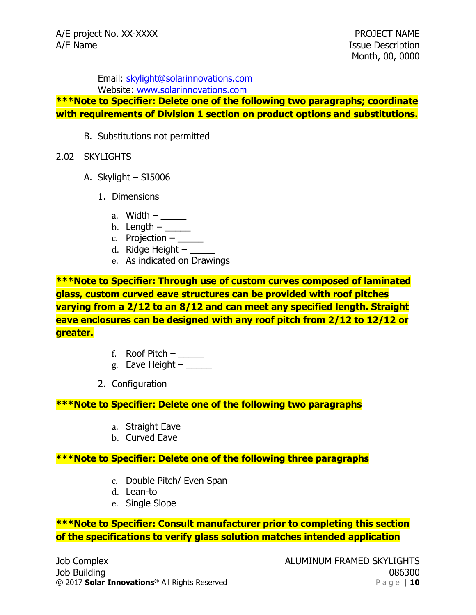Email: [skylight@solarinnovations.com](mailto:skylight@solarinnovations.com)

Website: [www.solarinnovations.com](http://www.solarinnovations.com/)

**\*\*\*Note to Specifier: Delete one of the following two paragraphs; coordinate with requirements of Division 1 section on product options and substitutions.**

- B. Substitutions not permitted
- 2.02 SKYLIGHTS
	- A. Skylight SI5006
		- 1. Dimensions
			- a. Width  $-\underline{\hspace{2cm}}$
			- b. Length  $-\underline{\hspace{2cm}}$
			- c. Projection  $-$
			- d. Ridge Height  $-$
			- e. As indicated on Drawings

**\*\*\*Note to Specifier: Through use of custom curves composed of laminated glass, custom curved eave structures can be provided with roof pitches varying from a 2/12 to an 8/12 and can meet any specified length. Straight eave enclosures can be designed with any roof pitch from 2/12 to 12/12 or greater.**

- f. Roof Pitch  $-\underline{\qquad}$
- g. Eave Height  $-\underline{\hspace{2cm}}$
- 2. Configuration

## **\*\*\*Note to Specifier: Delete one of the following two paragraphs**

- a. Straight Eave
- b. Curved Eave

## **\*\*\*Note to Specifier: Delete one of the following three paragraphs**

- c. Double Pitch/ Even Span
- d. Lean-to
- e. Single Slope

**\*\*\*Note to Specifier: Consult manufacturer prior to completing this section of the specifications to verify glass solution matches intended application**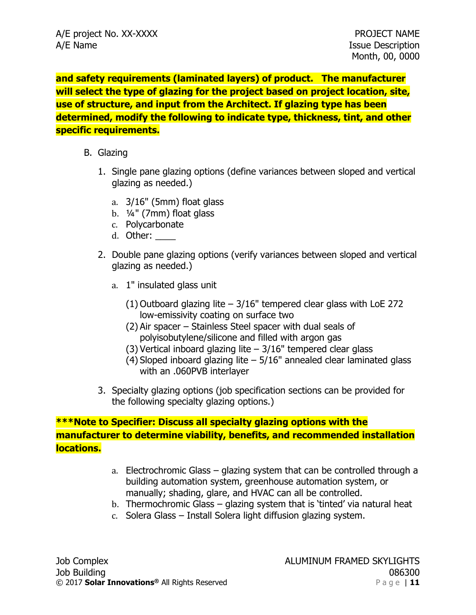**and safety requirements (laminated layers) of product. The manufacturer will select the type of glazing for the project based on project location, site, use of structure, and input from the Architect. If glazing type has been determined, modify the following to indicate type, thickness, tint, and other specific requirements.**

- B. Glazing
	- 1. Single pane glazing options (define variances between sloped and vertical glazing as needed.)
		- a. 3/16" (5mm) float glass
		- b. ¼" (7mm) float glass
		- c. Polycarbonate
		- d. Other: \_\_\_\_
	- 2. Double pane glazing options (verify variances between sloped and vertical glazing as needed.)
		- a. 1" insulated glass unit
			- (1) Outboard glazing lite  $-3/16$ " tempered clear glass with LoE 272 low-emissivity coating on surface two
			- (2) Air spacer Stainless Steel spacer with dual seals of polyisobutylene/silicone and filled with argon gas
			- (3) Vertical inboard glazing lite  $-3/16$ " tempered clear glass
			- (4) Sloped inboard glazing lite  $-5/16$ " annealed clear laminated glass with an .060PVB interlayer
	- 3. Specialty glazing options (job specification sections can be provided for the following specialty glazing options.)

# **\*\*\*Note to Specifier: Discuss all specialty glazing options with the manufacturer to determine viability, benefits, and recommended installation locations.**

- a. Electrochromic Glass glazing system that can be controlled through a building automation system, greenhouse automation system, or manually; shading, glare, and HVAC can all be controlled.
- b. Thermochromic Glass glazing system that is 'tinted' via natural heat
- c. Solera Glass Install Solera light diffusion glazing system.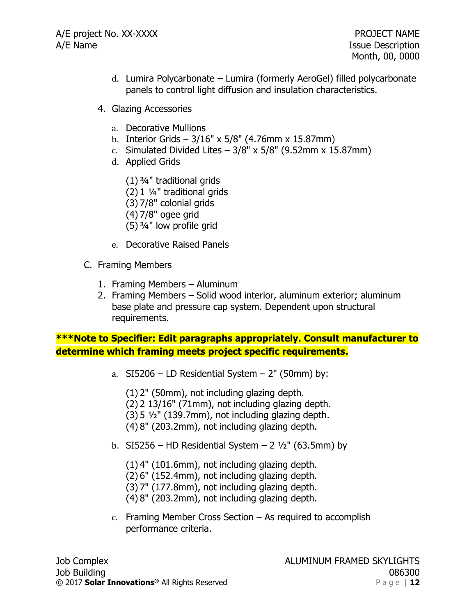- d. Lumira Polycarbonate Lumira (formerly AeroGel) filled polycarbonate panels to control light diffusion and insulation characteristics.
- 4. Glazing Accessories
	- a. Decorative Mullions
	- b. Interior Grids  $3/16''$  x  $5/8''$  (4.76mm x 15.87mm)
	- c. Simulated Divided Lites  $-3/8$ " x 5/8" (9.52mm x 15.87mm)
	- d. Applied Grids
		- (1) ¾" traditional grids
		- (2) 1 ¼" traditional grids
		- (3) 7/8" colonial grids
		- (4) 7/8" ogee grid
		- (5) ¾" low profile grid
	- e. Decorative Raised Panels
- C. Framing Members
	- 1. Framing Members Aluminum
	- 2. Framing Members Solid wood interior, aluminum exterior; aluminum base plate and pressure cap system. Dependent upon structural requirements.

**\*\*\*Note to Specifier: Edit paragraphs appropriately. Consult manufacturer to determine which framing meets project specific requirements.**

- a.  $SI5206$  LD Residential System 2" (50mm) by:
	- (1) 2" (50mm), not including glazing depth.
	- (2) 2 13/16" (71mm), not including glazing depth.
	- $(3)$  5  $\frac{1}{2}$ " (139.7mm), not including glazing depth.
	- (4) 8" (203.2mm), not including glazing depth.
- b. SI5256 HD Residential System  $2\frac{1}{2}$ " (63.5mm) by
	- (1) 4" (101.6mm), not including glazing depth.
	- (2) 6" (152.4mm), not including glazing depth.
	- (3) 7" (177.8mm), not including glazing depth.
	- (4) 8" (203.2mm), not including glazing depth.
- c. Framing Member Cross Section As required to accomplish performance criteria.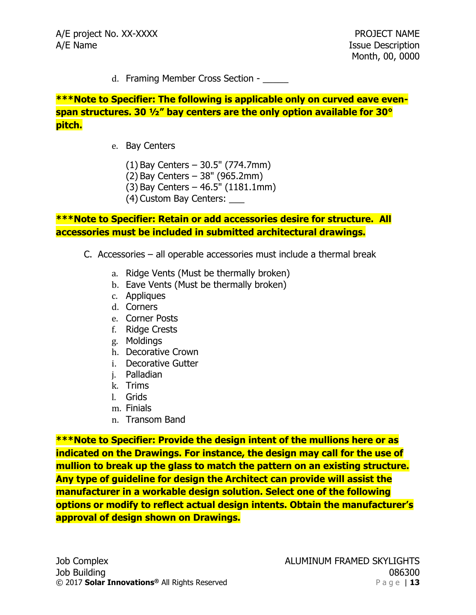d. Framing Member Cross Section -

**\*\*\*Note to Specifier: The following is applicable only on curved eave evenspan structures. 30 ½" bay centers are the only option available for 30° pitch.** 

- e. Bay Centers
	- (1) Bay Centers 30.5" (774.7mm)
	- (2) Bay Centers 38" (965.2mm)
	- (3) Bay Centers 46.5" (1181.1mm)
	- (4) Custom Bay Centers: \_\_\_

## **\*\*\*Note to Specifier: Retain or add accessories desire for structure. All accessories must be included in submitted architectural drawings.**

- C. Accessories all operable accessories must include a thermal break
	- a. Ridge Vents (Must be thermally broken)
	- b. Eave Vents (Must be thermally broken)
	- c. Appliques
	- d. Corners
	- e. Corner Posts
	- f. Ridge Crests
	- g. Moldings
	- h. Decorative Crown
	- i. Decorative Gutter
	- j. Palladian
	- k. Trims
	- l. Grids
	- m. Finials
	- n. Transom Band

**\*\*\*Note to Specifier: Provide the design intent of the mullions here or as indicated on the Drawings. For instance, the design may call for the use of mullion to break up the glass to match the pattern on an existing structure. Any type of guideline for design the Architect can provide will assist the manufacturer in a workable design solution. Select one of the following options or modify to reflect actual design intents. Obtain the manufacturer's approval of design shown on Drawings.**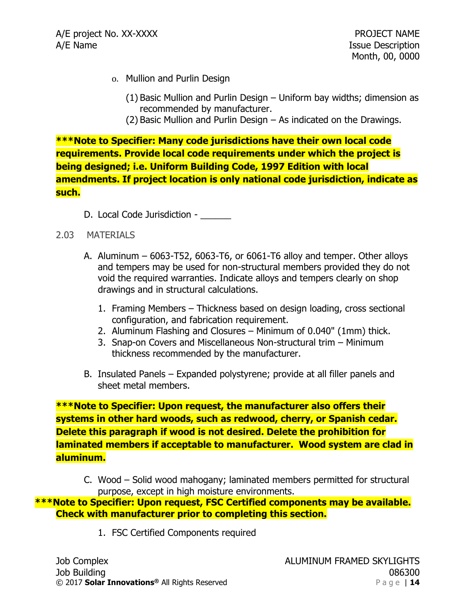- o. Mullion and Purlin Design
	- (1) Basic Mullion and Purlin Design Uniform bay widths; dimension as recommended by manufacturer.
	- (2) Basic Mullion and Purlin Design As indicated on the Drawings.

**\*\*\*Note to Specifier: Many code jurisdictions have their own local code requirements. Provide local code requirements under which the project is being designed; i.e. Uniform Building Code, 1997 Edition with local amendments. If project location is only national code jurisdiction, indicate as such.**

D. Local Code Jurisdiction - \_\_\_\_\_\_

#### 2.03 MATERIALS

- A. Aluminum 6063-T52, 6063-T6, or 6061-T6 alloy and temper. Other alloys and tempers may be used for non-structural members provided they do not void the required warranties. Indicate alloys and tempers clearly on shop drawings and in structural calculations.
	- 1. Framing Members Thickness based on design loading, cross sectional configuration, and fabrication requirement.
	- 2. Aluminum Flashing and Closures Minimum of 0.040" (1mm) thick.
	- 3. Snap-on Covers and Miscellaneous Non-structural trim Minimum thickness recommended by the manufacturer.
- B. Insulated Panels Expanded polystyrene; provide at all filler panels and sheet metal members.

**\*\*\*Note to Specifier: Upon request, the manufacturer also offers their systems in other hard woods, such as redwood, cherry, or Spanish cedar. Delete this paragraph if wood is not desired. Delete the prohibition for laminated members if acceptable to manufacturer. Wood system are clad in aluminum.** 

C. Wood – Solid wood mahogany; laminated members permitted for structural purpose, except in high moisture environments.

**\*\*\*Note to Specifier: Upon request, FSC Certified components may be available. Check with manufacturer prior to completing this section.** 

1. FSC Certified Components required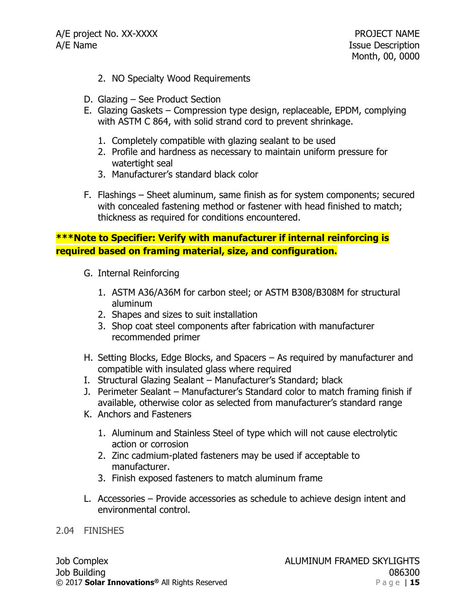- 2. NO Specialty Wood Requirements
- D. Glazing See Product Section
- E. Glazing Gaskets Compression type design, replaceable, EPDM, complying with ASTM C 864, with solid strand cord to prevent shrinkage.
	- 1. Completely compatible with glazing sealant to be used
	- 2. Profile and hardness as necessary to maintain uniform pressure for watertight seal
	- 3. Manufacturer's standard black color
- F. Flashings Sheet aluminum, same finish as for system components; secured with concealed fastening method or fastener with head finished to match; thickness as required for conditions encountered.

# **\*\*\*Note to Specifier: Verify with manufacturer if internal reinforcing is required based on framing material, size, and configuration.**

- G. Internal Reinforcing
	- 1. ASTM A36/A36M for carbon steel; or ASTM B308/B308M for structural aluminum
	- 2. Shapes and sizes to suit installation
	- 3. Shop coat steel components after fabrication with manufacturer recommended primer
- H. Setting Blocks, Edge Blocks, and Spacers As required by manufacturer and compatible with insulated glass where required
- I. Structural Glazing Sealant Manufacturer's Standard; black
- J. Perimeter Sealant Manufacturer's Standard color to match framing finish if available, otherwise color as selected from manufacturer's standard range
- K. Anchors and Fasteners
	- 1. Aluminum and Stainless Steel of type which will not cause electrolytic action or corrosion
	- 2. Zinc cadmium-plated fasteners may be used if acceptable to manufacturer.
	- 3. Finish exposed fasteners to match aluminum frame
- L. Accessories Provide accessories as schedule to achieve design intent and environmental control.

### 2.04 FINISHES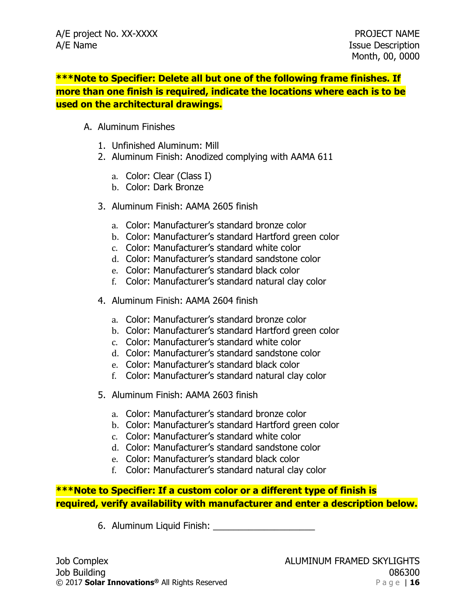**\*\*\*Note to Specifier: Delete all but one of the following frame finishes. If more than one finish is required, indicate the locations where each is to be used on the architectural drawings.**

- A. Aluminum Finishes
	- 1. Unfinished Aluminum: Mill
	- 2. Aluminum Finish: Anodized complying with AAMA 611
		- a. Color: Clear (Class I)
		- b. Color: Dark Bronze
	- 3. Aluminum Finish: AAMA 2605 finish
		- a. Color: Manufacturer's standard bronze color
		- b. Color: Manufacturer's standard Hartford green color
		- c. Color: Manufacturer's standard white color
		- d. Color: Manufacturer's standard sandstone color
		- e. Color: Manufacturer's standard black color
		- f. Color: Manufacturer's standard natural clay color
	- 4. Aluminum Finish: AAMA 2604 finish
		- a. Color: Manufacturer's standard bronze color
		- b. Color: Manufacturer's standard Hartford green color
		- c. Color: Manufacturer's standard white color
		- d. Color: Manufacturer's standard sandstone color
		- e. Color: Manufacturer's standard black color
		- f. Color: Manufacturer's standard natural clay color
	- 5. Aluminum Finish: AAMA 2603 finish
		- a. Color: Manufacturer's standard bronze color
		- b. Color: Manufacturer's standard Hartford green color
		- c. Color: Manufacturer's standard white color
		- d. Color: Manufacturer's standard sandstone color
		- e. Color: Manufacturer's standard black color
		- f. Color: Manufacturer's standard natural clay color

# **\*\*\*Note to Specifier: If a custom color or a different type of finish is required, verify availability with manufacturer and enter a description below.**

6. Aluminum Liquid Finish: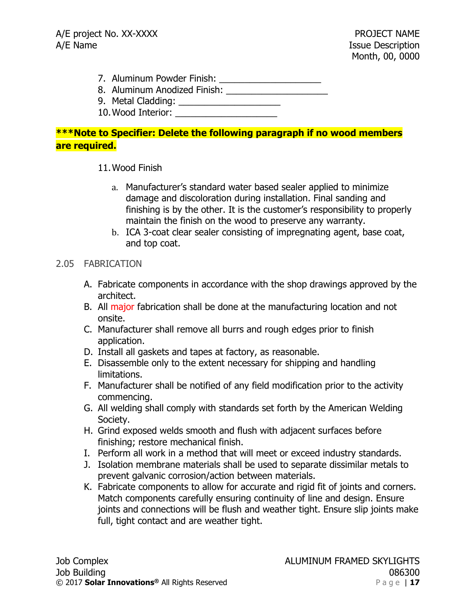- 7. Aluminum Powder Finish: \_\_\_\_\_\_\_\_\_\_\_\_\_\_\_\_\_\_\_\_
- 8. Aluminum Anodized Finish: \_\_\_\_\_\_\_\_\_\_\_\_\_\_\_\_\_\_\_\_
- 9. Metal Cladding: \_\_\_\_\_\_\_\_\_\_\_\_\_\_\_\_\_\_\_\_
- 10.Wood Interior: \_\_\_\_\_\_\_\_\_\_\_\_\_\_\_\_\_\_\_\_

# **\*\*\*Note to Specifier: Delete the following paragraph if no wood members are required.**

## 11.Wood Finish

- a. Manufacturer's standard water based sealer applied to minimize damage and discoloration during installation. Final sanding and finishing is by the other. It is the customer's responsibility to properly maintain the finish on the wood to preserve any warranty.
- b. ICA 3-coat clear sealer consisting of impregnating agent, base coat, and top coat.

## 2.05 FABRICATION

- A. Fabricate components in accordance with the shop drawings approved by the architect.
- B. All major fabrication shall be done at the manufacturing location and not onsite.
- C. Manufacturer shall remove all burrs and rough edges prior to finish application.
- D. Install all gaskets and tapes at factory, as reasonable.
- E. Disassemble only to the extent necessary for shipping and handling limitations.
- F. Manufacturer shall be notified of any field modification prior to the activity commencing.
- G. All welding shall comply with standards set forth by the American Welding Society.
- H. Grind exposed welds smooth and flush with adjacent surfaces before finishing; restore mechanical finish.
- I. Perform all work in a method that will meet or exceed industry standards.
- J. Isolation membrane materials shall be used to separate dissimilar metals to prevent galvanic corrosion/action between materials.
- K. Fabricate components to allow for accurate and rigid fit of joints and corners. Match components carefully ensuring continuity of line and design. Ensure joints and connections will be flush and weather tight. Ensure slip joints make full, tight contact and are weather tight.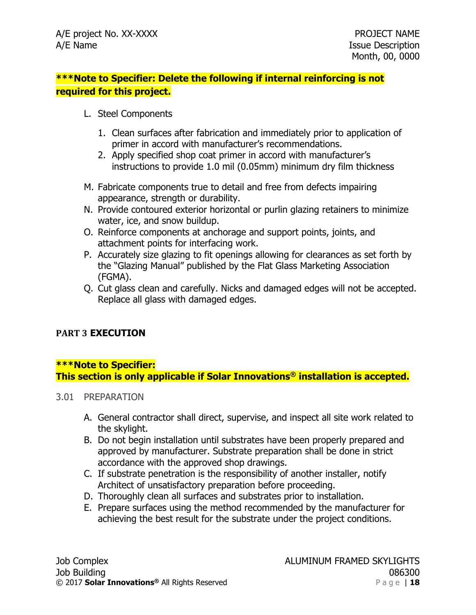# **\*\*\*Note to Specifier: Delete the following if internal reinforcing is not required for this project.**

- L. Steel Components
	- 1. Clean surfaces after fabrication and immediately prior to application of primer in accord with manufacturer's recommendations.
	- 2. Apply specified shop coat primer in accord with manufacturer's instructions to provide 1.0 mil (0.05mm) minimum dry film thickness
- M. Fabricate components true to detail and free from defects impairing appearance, strength or durability.
- N. Provide contoured exterior horizontal or purlin glazing retainers to minimize water, ice, and snow buildup.
- O. Reinforce components at anchorage and support points, joints, and attachment points for interfacing work.
- P. Accurately size glazing to fit openings allowing for clearances as set forth by the "Glazing Manual" published by the Flat Glass Marketing Association (FGMA).
- Q. Cut glass clean and carefully. Nicks and damaged edges will not be accepted. Replace all glass with damaged edges.

# **PART 3 EXECUTION**

### **\*\*\*Note to Specifier: This section is only applicable if Solar Innovations® installation is accepted.**

### 3.01 PREPARATION

- A. General contractor shall direct, supervise, and inspect all site work related to the skylight.
- B. Do not begin installation until substrates have been properly prepared and approved by manufacturer. Substrate preparation shall be done in strict accordance with the approved shop drawings.
- C. If substrate penetration is the responsibility of another installer, notify Architect of unsatisfactory preparation before proceeding.
- D. Thoroughly clean all surfaces and substrates prior to installation.
- E. Prepare surfaces using the method recommended by the manufacturer for achieving the best result for the substrate under the project conditions.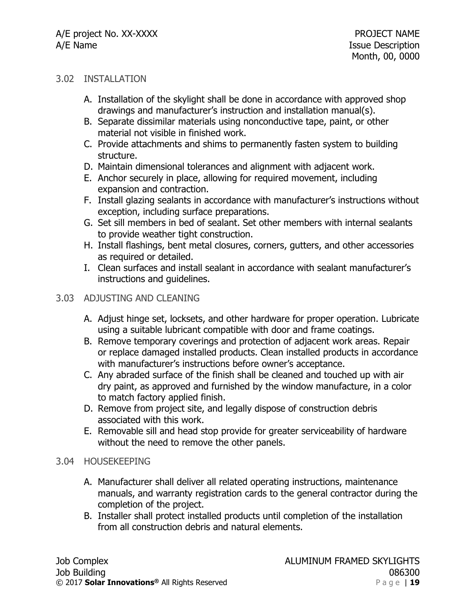### 3.02 INSTALLATION

- A. Installation of the skylight shall be done in accordance with approved shop drawings and manufacturer's instruction and installation manual(s).
- B. Separate dissimilar materials using nonconductive tape, paint, or other material not visible in finished work.
- C. Provide attachments and shims to permanently fasten system to building structure.
- D. Maintain dimensional tolerances and alignment with adjacent work.
- E. Anchor securely in place, allowing for required movement, including expansion and contraction.
- F. Install glazing sealants in accordance with manufacturer's instructions without exception, including surface preparations.
- G. Set sill members in bed of sealant. Set other members with internal sealants to provide weather tight construction.
- H. Install flashings, bent metal closures, corners, gutters, and other accessories as required or detailed.
- I. Clean surfaces and install sealant in accordance with sealant manufacturer's instructions and guidelines.

## 3.03 ADJUSTING AND CLEANING

- A. Adjust hinge set, locksets, and other hardware for proper operation. Lubricate using a suitable lubricant compatible with door and frame coatings.
- B. Remove temporary coverings and protection of adjacent work areas. Repair or replace damaged installed products. Clean installed products in accordance with manufacturer's instructions before owner's acceptance.
- C. Any abraded surface of the finish shall be cleaned and touched up with air dry paint, as approved and furnished by the window manufacture, in a color to match factory applied finish.
- D. Remove from project site, and legally dispose of construction debris associated with this work.
- E. Removable sill and head stop provide for greater serviceability of hardware without the need to remove the other panels.

## 3.04 HOUSEKEEPING

- A. Manufacturer shall deliver all related operating instructions, maintenance manuals, and warranty registration cards to the general contractor during the completion of the project.
- B. Installer shall protect installed products until completion of the installation from all construction debris and natural elements.